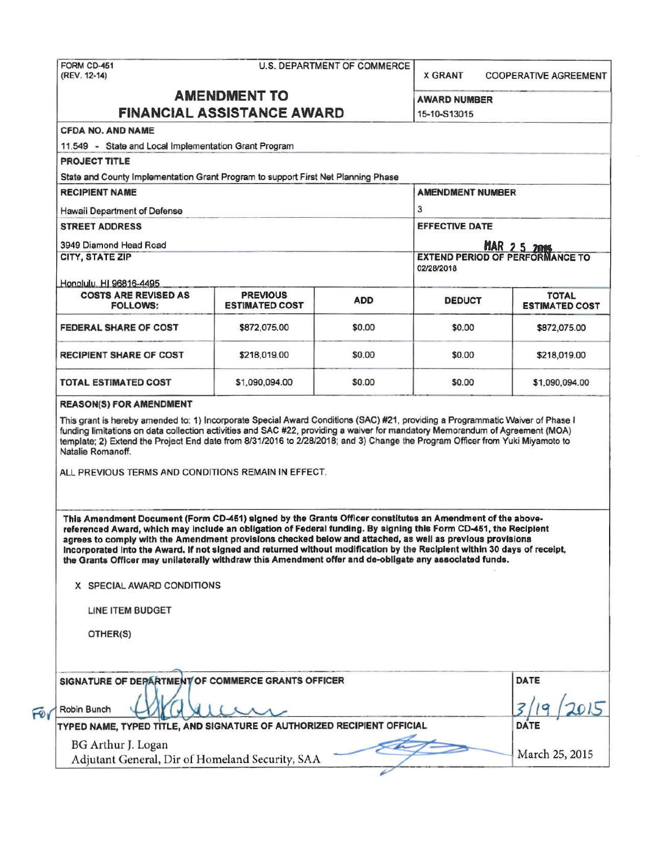|                                                                                                                                                                                                                                                                                                                                                                                                                                                                                                                                                                                                                                                 | FORM CD-451<br><b>U.S. DEPARTMENT OF COMMERCE</b><br>(REV. 12-14) |            |                       |                                       |  |
|-------------------------------------------------------------------------------------------------------------------------------------------------------------------------------------------------------------------------------------------------------------------------------------------------------------------------------------------------------------------------------------------------------------------------------------------------------------------------------------------------------------------------------------------------------------------------------------------------------------------------------------------------|-------------------------------------------------------------------|------------|-----------------------|---------------------------------------|--|
| <b>AMENDMENT TO</b>                                                                                                                                                                                                                                                                                                                                                                                                                                                                                                                                                                                                                             |                                                                   |            | <b>AWARD NUMBER</b>   |                                       |  |
| <b>FINANCIAL ASSISTANCE AWARD</b>                                                                                                                                                                                                                                                                                                                                                                                                                                                                                                                                                                                                               | 15-10-S13015                                                      |            |                       |                                       |  |
| <b>CFDA NO. AND NAME</b>                                                                                                                                                                                                                                                                                                                                                                                                                                                                                                                                                                                                                        |                                                                   |            |                       |                                       |  |
| 11.549 - State and Local Implementation Grant Program                                                                                                                                                                                                                                                                                                                                                                                                                                                                                                                                                                                           |                                                                   |            |                       |                                       |  |
| <b>PROJECT TITLE</b>                                                                                                                                                                                                                                                                                                                                                                                                                                                                                                                                                                                                                            |                                                                   |            |                       |                                       |  |
| State and County Implementation Grant Program to support First Net Planning Phase                                                                                                                                                                                                                                                                                                                                                                                                                                                                                                                                                               |                                                                   |            |                       |                                       |  |
| <b>RECIPIENT NAME</b>                                                                                                                                                                                                                                                                                                                                                                                                                                                                                                                                                                                                                           | <b>AMENDMENT NUMBER</b>                                           |            |                       |                                       |  |
| Hawaii Department of Defense                                                                                                                                                                                                                                                                                                                                                                                                                                                                                                                                                                                                                    | 3                                                                 |            |                       |                                       |  |
| <b>STREET ADDRESS</b>                                                                                                                                                                                                                                                                                                                                                                                                                                                                                                                                                                                                                           |                                                                   |            | <b>EFFECTIVE DATE</b> |                                       |  |
| 3949 Diamond Head Road                                                                                                                                                                                                                                                                                                                                                                                                                                                                                                                                                                                                                          |                                                                   |            |                       | <b>MAR 2 5 2015</b>                   |  |
| <b>CITY, STATE ZIP</b>                                                                                                                                                                                                                                                                                                                                                                                                                                                                                                                                                                                                                          | <b>EXTEND PERIOD OF PERFORMANCE TO</b><br>02/28/2018              |            |                       |                                       |  |
| Honolulu, HI 96816-4495<br><b>COSTS ARE REVISED AS</b><br><b>FOLLOWS:</b>                                                                                                                                                                                                                                                                                                                                                                                                                                                                                                                                                                       | <b>PREVIOUS</b><br><b>ESTIMATED COST</b>                          | <b>ADD</b> | <b>DEDUCT</b>         | <b>TOTAL</b><br><b>ESTIMATED COST</b> |  |
| <b>FEDERAL SHARE OF COST</b>                                                                                                                                                                                                                                                                                                                                                                                                                                                                                                                                                                                                                    | \$872,075.00                                                      | \$0.00     | \$0.00                | \$872,075.00                          |  |
| <b>RECIPIENT SHARE OF COST</b>                                                                                                                                                                                                                                                                                                                                                                                                                                                                                                                                                                                                                  | \$218,019.00                                                      | \$0.00     | \$0.00                | \$218,019.00                          |  |
| TOTAL ESTIMATED COST                                                                                                                                                                                                                                                                                                                                                                                                                                                                                                                                                                                                                            | \$1,090,094.00                                                    | \$0.00     | \$0.00                | \$1,090,094.00                        |  |
|                                                                                                                                                                                                                                                                                                                                                                                                                                                                                                                                                                                                                                                 |                                                                   |            |                       |                                       |  |
| <b>REASON(S) FOR AMENDMENT</b><br>This grant is hereby amended to: 1) Incorporate Special Award Conditions (SAC) #21, providing a Programmatic Waiver of Phase I<br>funding limitations on data collection activities and SAC #22, providing a waiver for mandatory Memorandum of Agreement (MOA)<br>template; 2) Extend the Project End date from 8/31/2016 to 2/28/2018; and 3) Change the Program Officer from Yuki Miyamoto to<br>Natalie Romanoff.<br>ALL PREVIOUS TERMS AND CONDITIONS REMAIN IN EFFECT.                                                                                                                                  |                                                                   |            |                       |                                       |  |
| This Amendment Document (Form CD-451) signed by the Grants Officer constitutes an Amendment of the above-<br>referenced Award, which may include an obligation of Federal funding. By signing this Form CD-451, the Recipient<br>agrees to comply with the Amendment provisions checked below and attached, as well as previous provisions<br>Incorporated Into the Award. If not signed and returned without modification by the Recipient within 30 days of receipt,<br>the Grants Officer may unilaterally withdraw this Amendment offer and de-obligate any associated funds.<br>X SPECIAL AWARD CONDITIONS<br>LINE ITEM BUDGET<br>OTHER(S) |                                                                   |            |                       |                                       |  |
|                                                                                                                                                                                                                                                                                                                                                                                                                                                                                                                                                                                                                                                 |                                                                   |            |                       | DATE                                  |  |
|                                                                                                                                                                                                                                                                                                                                                                                                                                                                                                                                                                                                                                                 |                                                                   |            |                       |                                       |  |
| SIGNATURE OF DEPARTMENT OF COMMERCE GRANTS OFFICER<br>Robin Bunch<br>TYPED NAME, TYPED TITLE, AND SIGNATURE OF AUTHORIZED RECIPIENT OFFICIAL<br>BG Arthur J. Logan                                                                                                                                                                                                                                                                                                                                                                                                                                                                              |                                                                   |            |                       | <b>DATE</b>                           |  |